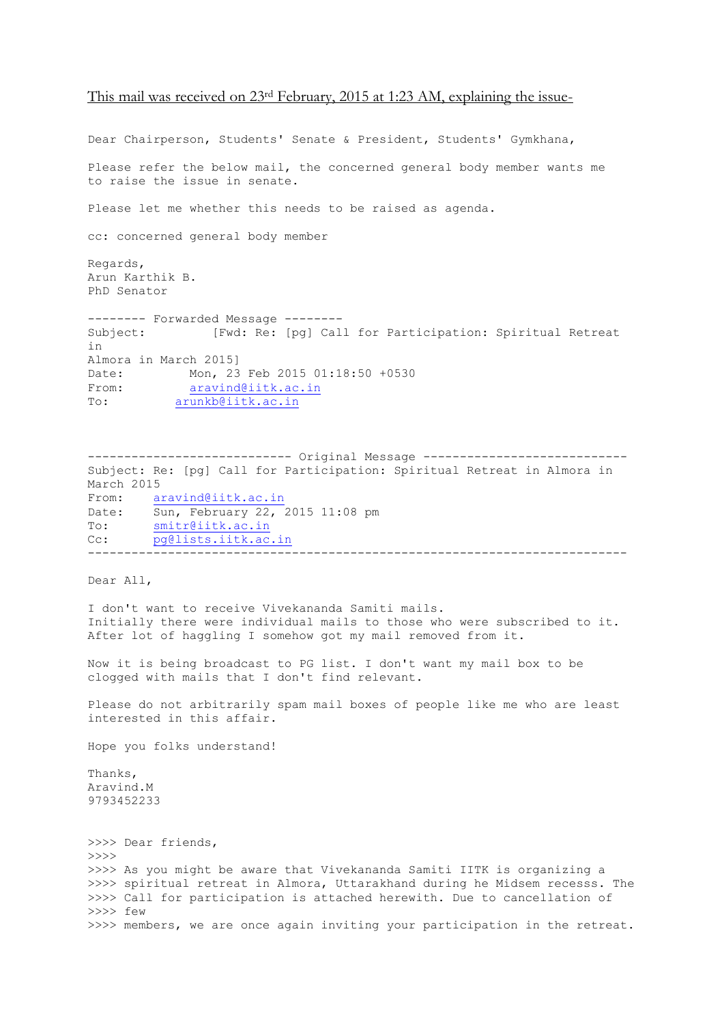## This mail was received on 23rd February, 2015 at 1:23 AM, explaining the issue-

Dear Chairperson, Students' Senate & President, Students' Gymkhana, Please refer the below mail, the concerned general body member wants me to raise the issue in senate. Please let me whether this needs to be raised as agenda. cc: concerned general body member Regards, Arun Karthik B. PhD Senator -------- Forwarded Message -------- Subject: [Fwd: Re: [pg] Call for Participation: Spiritual Retreat in Almora in March 2015] Date: Mon, 23 Feb 2015 01:18:50 +0530 From: [aravind@iitk.ac.in](https://webmail.iitk.ac.in/webmail/src/compose.php?send_to=aravind%40iitk.ac.in) To: [arunkb@iitk.ac.in](https://webmail.iitk.ac.in/webmail/src/compose.php?send_to=arunkb%40iitk.ac.in) ---------------------------- Original Message ---------------------------- Subject: Re: [pg] Call for Participation: Spiritual Retreat in Almora in

March 2015 From: [aravind@iitk.ac.in](https://webmail.iitk.ac.in/webmail/src/compose.php?send_to=aravind%40iitk.ac.in) Date: Sun, February 22, 2015 11:08 pm To: [smitr@iitk.ac.in](https://webmail.iitk.ac.in/webmail/src/compose.php?send_to=smitr%40iitk.ac.in) Cc: [pg@lists.iitk.ac.in](https://webmail.iitk.ac.in/webmail/src/compose.php?send_to=pg%40lists.iitk.ac.in) --------------------------------------------------------------------------

Dear All,

I don't want to receive Vivekananda Samiti mails. Initially there were individual mails to those who were subscribed to it. After lot of haggling I somehow got my mail removed from it.

Now it is being broadcast to PG list. I don't want my mail box to be clogged with mails that I don't find relevant.

Please do not arbitrarily spam mail boxes of people like me who are least interested in this affair.

Hope you folks understand!

Thanks, Aravind.M 9793452233

>>>> Dear friends, >>>> >>>> As you might be aware that Vivekananda Samiti IITK is organizing a >>>> spiritual retreat in Almora, Uttarakhand during he Midsem recesss. The >>>> Call for participation is attached herewith. Due to cancellation of >>>> few >>>> members, we are once again inviting your participation in the retreat.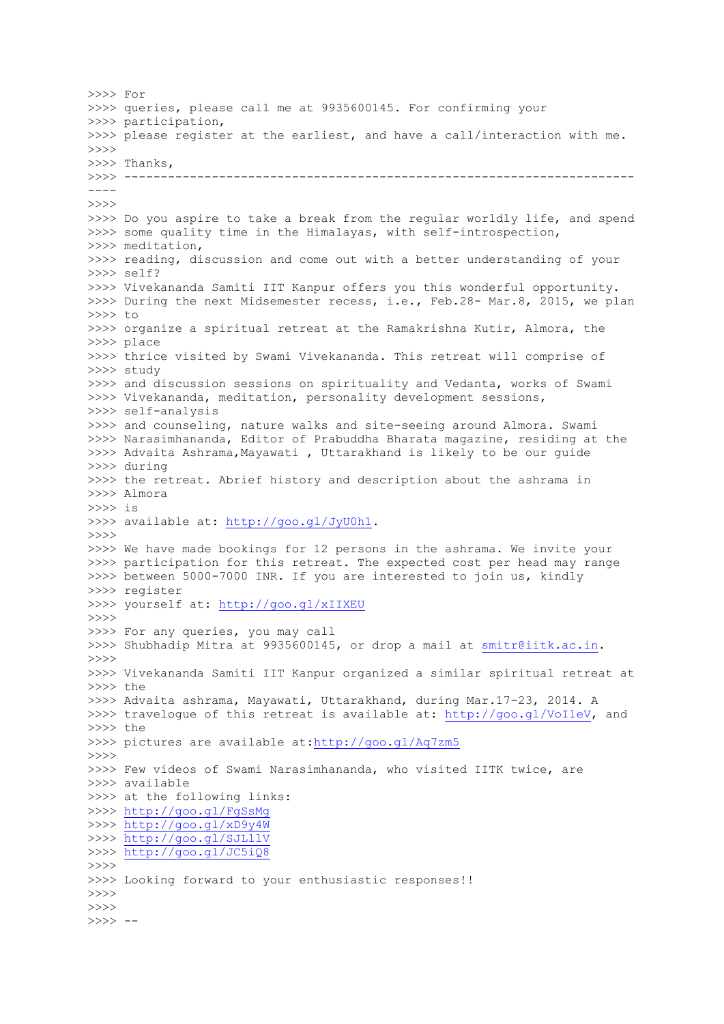>>>> For >>>> queries, please call me at 9935600145. For confirming your >>>> participation, >>>> please register at the earliest, and have a call/interaction with me. >>>> >>>> Thanks, >>>> ---------------------------------------------------------------------- ---- >>>> >>>> Do you aspire to take a break from the regular worldly life, and spend >>>> some quality time in the Himalayas, with self-introspection, >>>> meditation, >>>> reading, discussion and come out with a better understanding of your >>>> self? >>>> Vivekananda Samiti IIT Kanpur offers you this wonderful opportunity. >>>> During the next Midsemester recess, i.e., Feb.28- Mar.8, 2015, we plan >>>> to >>>> organize a spiritual retreat at the Ramakrishna Kutir, Almora, the >>>> place >>>> thrice visited by Swami Vivekananda. This retreat will comprise of >>>> study >>>> and discussion sessions on spirituality and Vedanta, works of Swami >>>> Vivekananda, meditation, personality development sessions, >>>> self-analysis >>>> and counseling, nature walks and site-seeing around Almora. Swami >>>> Narasimhananda, Editor of Prabuddha Bharata magazine, residing at the >>>> Advaita Ashrama, Mayawati, Uttarakhand is likely to be our quide >>>> during >>>> the retreat. Abrief history and description about the ashrama in >>>> Almora >>>> is >>>> available at: [http://goo.gl/JyU0h1.](http://goo.gl/JyU0h1) >>>> >>>> We have made bookings for 12 persons in the ashrama. We invite your >>>> participation for this retreat. The expected cost per head may range >>>> between 5000-7000 INR. If you are interested to join us, kindly >>>> register >>>> yourself at:<http://goo.gl/xIIXEU>  $>>>>$ >>>> For any queries, you may call >>>> Shubhadip Mitra at 9935600145, or drop a mail at [smitr@iitk.ac.in.](https://webmail.iitk.ac.in/webmail/src/compose.php?send_to=smitr%40iitk.ac.in) >>>> >>>> Vivekananda Samiti IIT Kanpur organized a similar spiritual retreat at >>>> the >>>> Advaita ashrama, Mayawati, Uttarakhand, during Mar.17-23, 2014. A >>>> travelogue of this retreat is available at: [http://goo.gl/VoI1eV,](http://goo.gl/VoI1eV) and >>>> the >>>> pictures are available at[:http://goo.gl/Aq7zm5](http://goo.gl/Aq7zm5) >>>> >>>> Few videos of Swami Narasimhananda, who visited IITK twice, are >>>> available >>>> at the following links: >>>><http://goo.gl/FgSsMg> >>>><http://goo.gl/xD9y4W> >>>><http://goo.gl/SJLllV> >>>><http://goo.gl/JC5iQ8> >>>> >>>> Looking forward to your enthusiastic responses!! >>>> >>>> >>>> --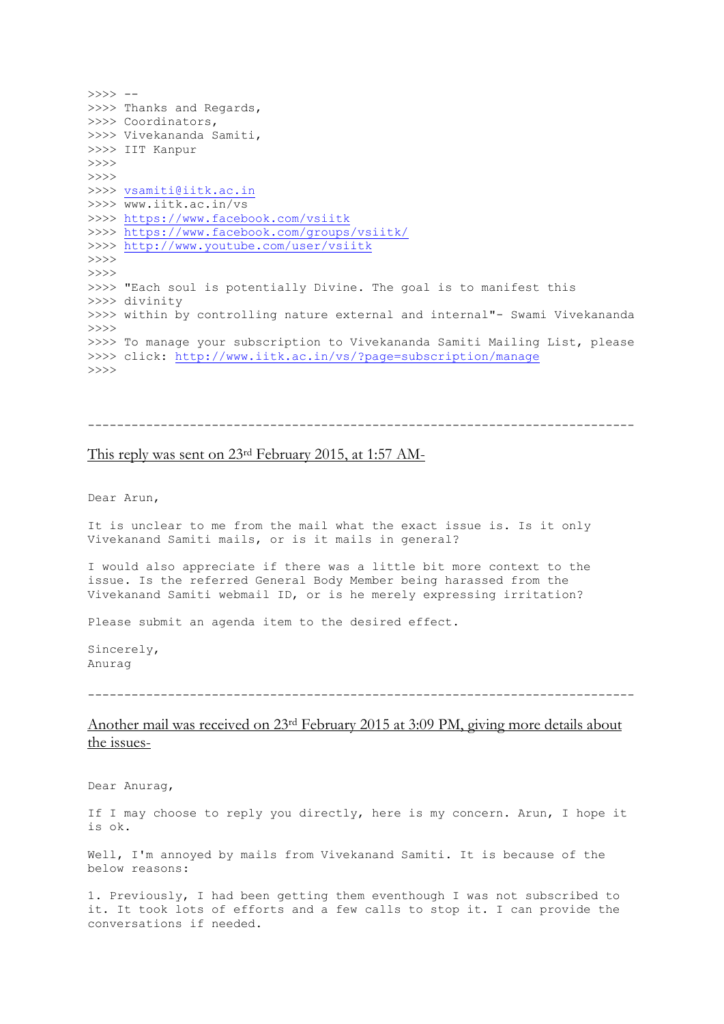```
>>>> -->>>> Thanks and Regards,
>>>> Coordinators,
>>>> Vivekananda Samiti,
>>>> IIT Kanpur
>>>>
>>>>
>>>> vsamiti@iitk.ac.in
>>>> www.iitk.ac.in/vs
>>>> https://www.facebook.com/vsiitk
>>>> https://www.facebook.com/groups/vsiitk/
>>>> http://www.youtube.com/user/vsiitk
>>>>>>>>
>>>> "Each soul is potentially Divine. The goal is to manifest this
>>>> divinity
>>>> within by controlling nature external and internal"- Swami Vivekananda
>>>>
>>>> To manage your subscription to Vivekananda Samiti Mailing List, please
>>>> click: http://www.iitk.ac.in/vs/?page=subscription/manage
>>>>
```

```
---------------------------------------------------------------------------
```
## This reply was sent on 23rd February 2015, at 1:57 AM-

Dear Arun,

It is unclear to me from the mail what the exact issue is. Is it only Vivekanand Samiti mails, or is it mails in general?

I would also appreciate if there was a little bit more context to the issue. Is the referred General Body Member being harassed from the Vivekanand Samiti webmail ID, or is he merely expressing irritation?

Please submit an agenda item to the desired effect.

Sincerely, Anurag

---------------------------------------------------------------------------

## Another mail was received on 23rd February 2015 at 3:09 PM, giving more details about the issues-

Dear Anurag,

If I may choose to reply you directly, here is my concern. Arun, I hope it is ok.

Well, I'm annoyed by mails from Vivekanand Samiti. It is because of the below reasons:

1. Previously, I had been getting them eventhough I was not subscribed to it. It took lots of efforts and a few calls to stop it. I can provide the conversations if needed.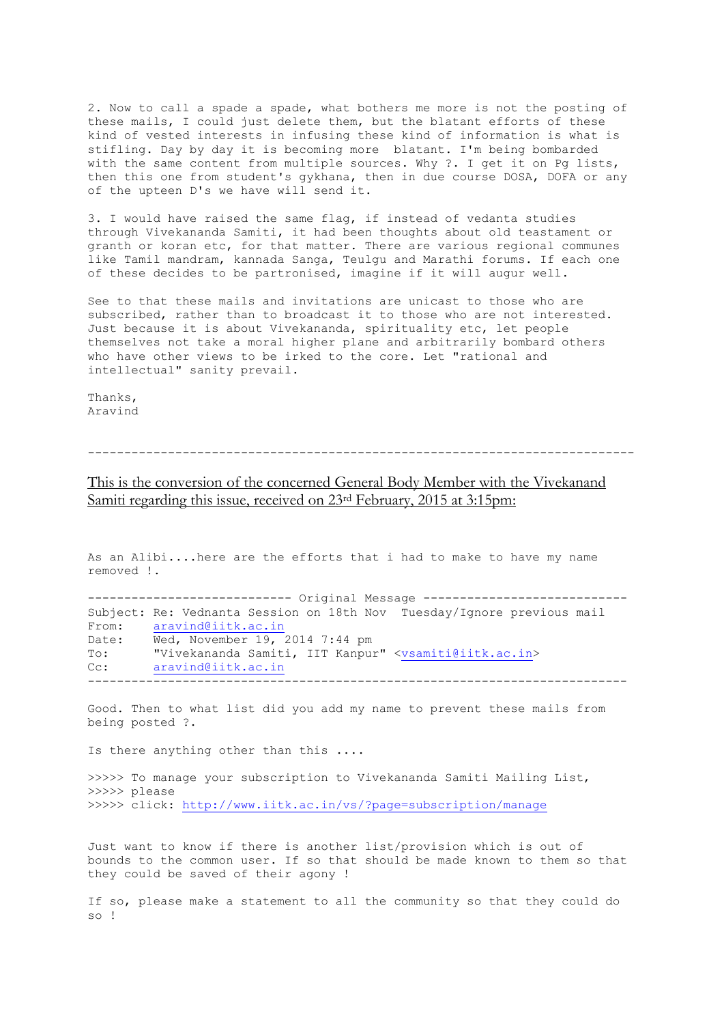2. Now to call a spade a spade, what bothers me more is not the posting of these mails, I could just delete them, but the blatant efforts of these kind of vested interests in infusing these kind of information is what is stifling. Day by day it is becoming more blatant. I'm being bombarded with the same content from multiple sources. Why ?. I get it on Pg lists, then this one from student's gykhana, then in due course DOSA, DOFA or any of the upteen D's we have will send it.

3. I would have raised the same flag, if instead of vedanta studies through Vivekananda Samiti, it had been thoughts about old teastament or granth or koran etc, for that matter. There are various regional communes like Tamil mandram, kannada Sanga, Teulgu and Marathi forums. If each one of these decides to be partronised, imagine if it will augur well.

See to that these mails and invitations are unicast to those who are subscribed, rather than to broadcast it to those who are not interested. Just because it is about Vivekananda, spirituality etc, let people themselves not take a moral higher plane and arbitrarily bombard others who have other views to be irked to the core. Let "rational and intellectual" sanity prevail.

Thanks, Aravind

---------------------------------------------------------------------------

This is the conversion of the concerned General Body Member with the Vivekanand Samiti regarding this issue, received on 23<sup>rd</sup> February, 2015 at 3:15pm:

As an Alibi....here are the efforts that i had to make to have my name removed !. ---------------------------- Original Message ---------------------------- Subject: Re: Vednanta Session on 18th Nov Tuesday/Ignore previous mail From: [aravind@iitk.ac.in](https://webmail.iitk.ac.in/webmail/src/compose.php?send_to=aravind%40iitk.ac.in) Date: Wed, November 19, 2014 7:44 pm To: "Vivekananda Samiti, IIT Kanpur" [<vsamiti@iitk.ac.in>](https://webmail.iitk.ac.in/webmail/src/compose.php?send_to=vsamiti%40iitk.ac.in)

Cc: [aravind@iitk.ac.in](https://webmail.iitk.ac.in/webmail/src/compose.php?send_to=aravind%40iitk.ac.in)

Good. Then to what list did you add my name to prevent these mails from being posted ?.

--------------------------------------------------------------------------

Is there anything other than this ....

>>>>> To manage your subscription to Vivekananda Samiti Mailing List, >>>>> please >>>>> click:<http://www.iitk.ac.in/vs/?page=subscription/manage>

Just want to know if there is another list/provision which is out of bounds to the common user. If so that should be made known to them so that they could be saved of their agony !

If so, please make a statement to all the community so that they could do  $\mathbf{s} \cap$  |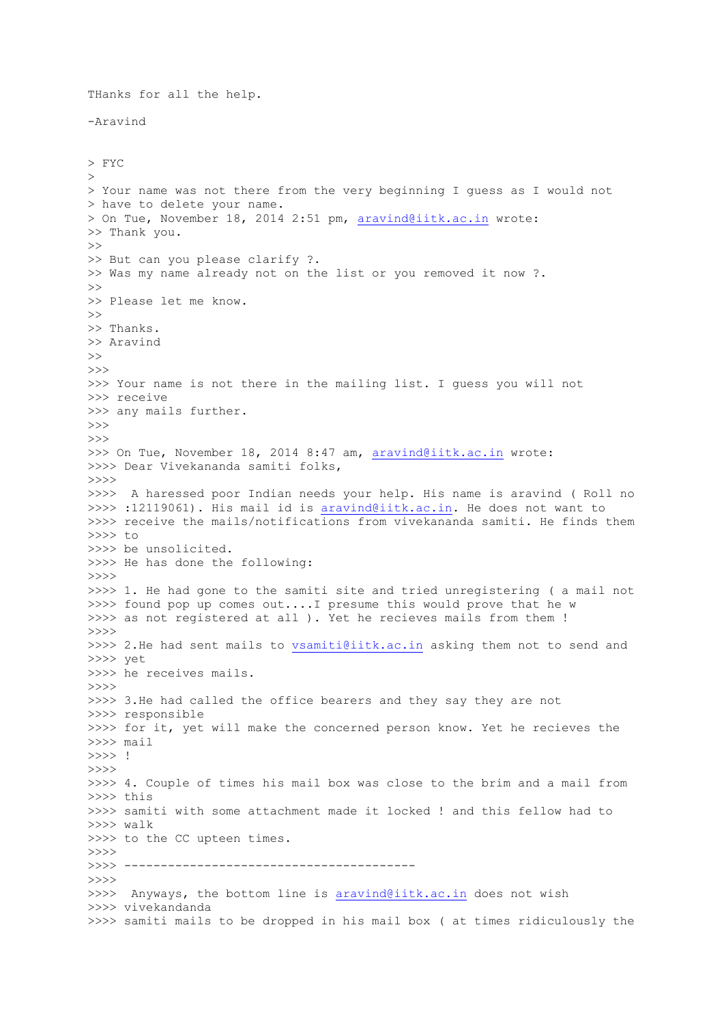THanks for all the help. -Aravind > FYC > > Your name was not there from the very beginning I guess as I would not > have to delete your name. > On Tue, November 18, 2014 2:51 pm, [aravind@iitk.ac.in](https://webmail.iitk.ac.in/webmail/src/compose.php?send_to=aravind%40iitk.ac.in) wrote: >> Thank you.  $\gt$ >> But can you please clarify ?. >> Was my name already not on the list or you removed it now ?.  $\rightarrow$ >> Please let me know.  $\rightarrow$ >> Thanks. >> Aravind >> >>> >>> Your name is not there in the mailing list. I guess you will not >>> receive >>> any mails further.  $\rightarrow$ >>> >>> On Tue, November 18, 2014 8:47 am, [aravind@iitk.ac.in](https://webmail.iitk.ac.in/webmail/src/compose.php?send_to=aravind%40iitk.ac.in) wrote: >>>> Dear Vivekananda samiti folks, >>>> >>>> A haressed poor Indian needs your help. His name is aravind ( Roll no >>>> :12119061). His mail id is [aravind@iitk.ac.in.](https://webmail.iitk.ac.in/webmail/src/compose.php?send_to=aravind%40iitk.ac.in) He does not want to >>>> receive the mails/notifications from vivekananda samiti. He finds them >>>> to >>>> be unsolicited. >>>> He has done the following: >>>> >>>> 1. He had gone to the samiti site and tried unregistering ( a mail not >>>> found pop up comes out....I presume this would prove that he w >>>> as not registered at all ). Yet he recieves mails from them ! >>>> >>>> 2.He had sent mails to [vsamiti@iitk.ac.in](https://webmail.iitk.ac.in/webmail/src/compose.php?send_to=vsamiti%40iitk.ac.in) asking them not to send and >>>> yet >>>> he receives mails. >>>> >>>> 3.He had called the office bearers and they say they are not >>>> responsible >>>> for it, yet will make the concerned person know. Yet he recieves the >>>> mail >>>> !  $\rightarrow$ >>>> 4. Couple of times his mail box was close to the brim and a mail from >>>> this >>>> samiti with some attachment made it locked ! and this fellow had to >>>> walk >>>> to the CC upteen times. >>>> >>>> ----------------------------------------  $>>>>$ >>>> Anyways, the bottom line is [aravind@iitk.ac.in](https://webmail.iitk.ac.in/webmail/src/compose.php?send_to=aravind%40iitk.ac.in) does not wish >>>> vivekandanda >>>> samiti mails to be dropped in his mail box ( at times ridiculously the